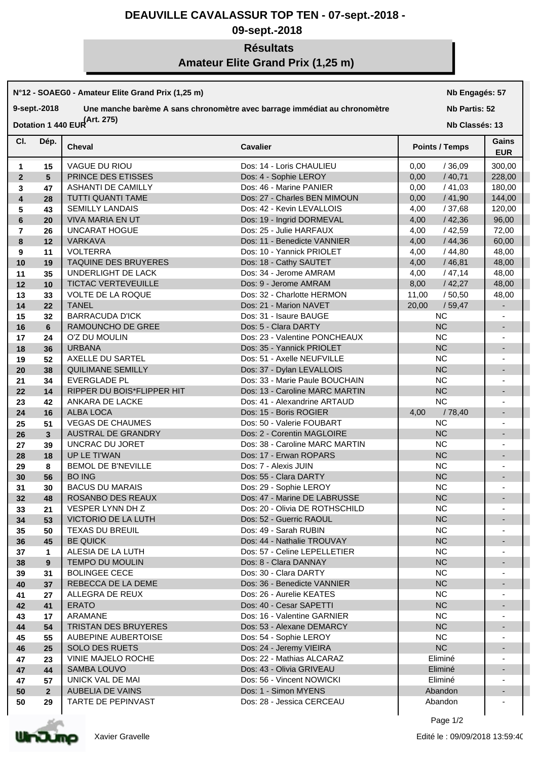## **DEAUVILLE CAVALASSUR TOP TEN - 07-sept.-2018 -**

## **09-sept.-2018**

## **Résultats Amateur Elite Grand Prix (1,25 m)**

|                | N°12 - SOAEG0 - Amateur Elite Grand Prix (1,25 m) | Nb Engagés: 57<br>Nb Partis: 52 |                                |                       |                          |
|----------------|---------------------------------------------------|---------------------------------|--------------------------------|-----------------------|--------------------------|
|                | 9-sept.-2018                                      |                                 |                                |                       |                          |
|                |                                                   | Dotation 1 440 EUR (Art. 275)   |                                | Nb Classés: 13        |                          |
| CI.            | Dép.                                              | <b>Cheval</b>                   | <b>Cavalier</b>                | <b>Points / Temps</b> | Gains<br><b>EUR</b>      |
| 1              | 15                                                | VAGUE DU RIOU                   | Dos: 14 - Loris CHAULIEU       | 0,00<br>/36,09        | 300,00                   |
| $\overline{2}$ | $5\phantom{.0}$                                   | PRINCE DES ETISSES              | Dos: 4 - Sophie LEROY          | 0,00<br>/40,71        | 228,00                   |
| 3              | 47                                                | <b>ASHANTI DE CAMILLY</b>       | Dos: 46 - Marine PANIER        | 0,00<br>/41,03        | 180,00                   |
| $\overline{4}$ | 28                                                | TUTTI QUANTI TAME               | Dos: 27 - Charles BEN MIMOUN   | 0,00<br>/41,90        | 144,00                   |
| 5              | 43                                                | <b>SEMILLY LANDAIS</b>          | Dos: 42 - Kevin LEVALLOIS      | 4,00<br>/37,68        | 120,00                   |
| 6              | 20                                                | <b>VIVA MARIA EN UT</b>         | Dos: 19 - Ingrid DORMEVAL      | 4,00<br>/42,36        | 96,00                    |
| $\overline{7}$ | 26                                                | <b>UNCARAT HOGUE</b>            | Dos: 25 - Julie HARFAUX        | 4,00<br>/ 42,59       | 72,00                    |
| 8              | 12                                                | <b>VARKAVA</b>                  | Dos: 11 - Benedicte VANNIER    | 4,00<br>/44,36        | 60,00                    |
| 9              | 11                                                | <b>VOLTERRA</b>                 | Dos: 10 - Yannick PRIOLET      | 4,00<br>/44,80        | 48,00                    |
| 10             | 19                                                | TAQUINE DES BRUYERES            | Dos: 18 - Cathy SAUTET         | /46,81<br>4,00        | 48,00                    |
| 11             | 35                                                | UNDERLIGHT DE LACK              | Dos: 34 - Jerome AMRAM         | 4,00<br>/47,14        | 48,00                    |
| 12             | 10                                                | <b>TICTAC VERTEVEUILLE</b>      | Dos: 9 - Jerome AMRAM          | 8,00<br>/42,27        | 48,00                    |
| 13             | 33                                                | <b>VOLTE DE LA ROQUE</b>        | Dos: 32 - Charlotte HERMON     | /50,50<br>11,00       | 48,00                    |
| 14             | 22                                                | <b>TANEL</b>                    | Dos: 21 - Marion NAVET         | 20,00<br>/59,47       |                          |
| 15             | 32                                                | <b>BARRACUDA D'ICK</b>          | Dos: 31 - Isaure BAUGE         | <b>NC</b>             |                          |
| 16             | 6                                                 | RAMOUNCHO DE GREE               | Dos: 5 - Clara DARTY           | NC                    | $\overline{\phantom{a}}$ |
| 17             | 24                                                | O'Z DU MOULIN                   | Dos: 23 - Valentine PONCHEAUX  | <b>NC</b>             | $\blacksquare$           |
| 18             | 36                                                | <b>URBANA</b>                   | Dos: 35 - Yannick PRIOLET      | NC                    | $\overline{\phantom{a}}$ |
| 19             | 52                                                | AXELLE DU SARTEL                | Dos: 51 - Axelle NEUFVILLE     | <b>NC</b>             | $\overline{\phantom{a}}$ |
| 20             | 38                                                | QUILIMANE SEMILLY               | Dos: 37 - Dylan LEVALLOIS      | NC                    | $\overline{\phantom{a}}$ |
| 21             | 34                                                | <b>EVERGLADE PL</b>             | Dos: 33 - Marie Paule BOUCHAIN | <b>NC</b>             | $\overline{\phantom{a}}$ |
| 22             | 14                                                | RIPPER DU BOIS*FLIPPER HIT      | Dos: 13 - Caroline MARC MARTIN | NC                    | $\overline{\phantom{a}}$ |
| 23             | 42                                                | ANKARA DE LACKE                 | Dos: 41 - Alexandrine ARTAUD   | <b>NC</b>             | $\overline{\phantom{a}}$ |
| 24             | 16                                                | ALBA LOCA                       | Dos: 15 - Boris ROGIER         | 4.00<br>/78,40        | $\overline{\phantom{a}}$ |
| 25             | 51                                                | <b>VEGAS DE CHAUMES</b>         | Dos: 50 - Valerie FOUBART      | <b>NC</b>             | $\blacksquare$           |
| 26             | $\mathbf{3}$                                      | AUSTRAL DE GRANDRY              | Dos: 2 - Corentin MAGLOIRE     | <b>NC</b>             | $\blacksquare$           |
| 27             | 39                                                | UNCRAC DU JORET                 | Dos: 38 - Caroline MARC MARTIN | <b>NC</b>             | $\overline{\phantom{a}}$ |
| 28             | 18                                                | UP LE TI'WAN                    | Dos: 17 - Erwan ROPARS         | <b>NC</b>             | $\overline{\phantom{a}}$ |
| 29             | 8                                                 | <b>BEMOL DE B'NEVILLE</b>       | Dos: 7 - Alexis JUIN           | <b>NC</b>             |                          |
| 30             | 56                                                | <b>BO ING</b>                   | Dos: 55 - Clara DARTY          | <b>NC</b>             |                          |
| 31             | 30                                                | <b>BACUS DU MARAIS</b>          | Dos: 29 - Sophie LEROY         | <b>NC</b>             |                          |
| 32             | 48                                                | ROSANBO DES REAUX               | Dos: 47 - Marine DE LABRUSSE   | <b>NC</b>             |                          |
| 33             | 21                                                | VESPER LYNN DH Z                | Dos: 20 - Olivia DE ROTHSCHILD | <b>NC</b>             |                          |
| 34             | 53                                                | VICTORIO DE LA LUTH             | Dos: 52 - Guerric RAOUL        | NC                    |                          |
| 35             | 50                                                | <b>TEXAS DU BREUIL</b>          | Dos: 49 - Sarah RUBIN          | <b>NC</b>             | $\overline{\phantom{a}}$ |
| 36             | 45                                                | <b>BE QUICK</b>                 | Dos: 44 - Nathalie TROUVAY     | NC                    |                          |
| 37             | $\mathbf{1}$                                      | ALESIA DE LA LUTH               | Dos: 57 - Celine LEPELLETIER   | <b>NC</b>             | $\overline{\phantom{a}}$ |
| 38             | 9                                                 | <b>TEMPO DU MOULIN</b>          | Dos: 8 - Clara DANNAY          | NC                    | $\overline{a}$           |
| 39             | 31                                                | <b>BOLINGEE CECE</b>            | Dos: 30 - Clara DARTY          | <b>NC</b>             | $\overline{\phantom{a}}$ |
| 40             | 37                                                | REBECCA DE LA DEME              | Dos: 36 - Benedicte VANNIER    | NC                    | ٠                        |
| 41             | 27                                                | ALLEGRA DE REUX                 | Dos: 26 - Aurelie KEATES       | NC.                   | $\overline{\phantom{a}}$ |
| 42             | 41                                                | <b>ERATO</b>                    | Dos: 40 - Cesar SAPETTI        | <b>NC</b>             | $\overline{a}$           |
| 43             | 17                                                | ARAMANE                         | Dos: 16 - Valentine GARNIER    | <b>NC</b>             | $\overline{\phantom{a}}$ |
| 44             | 54                                                | <b>TRISTAN DES BRUYERES</b>     | Dos: 53 - Alexane DEMARCY      | <b>NC</b>             | $\overline{a}$           |
| 45             | 55                                                | AUBEPINE AUBERTOISE             | Dos: 54 - Sophie LEROY         | <b>NC</b>             | $\blacksquare$           |
| 46             | 25                                                | <b>SOLO DES RUETS</b>           | Dos: 24 - Jeremy VIEIRA        | <b>NC</b>             | -                        |
| 47             | 23                                                | VINIE MAJELO ROCHE              | Dos: 22 - Mathias ALCARAZ      | Eliminé               | $\overline{\phantom{a}}$ |
| 47             | 44                                                | SAMBA LOUVO                     | Dos: 43 - Olivia GRIVEAU       | Eliminé               | ٠                        |
| 47             | 57                                                | UNICK VAL DE MAI                | Dos: 56 - Vincent NOWICKI      | Eliminé               | $\overline{\phantom{a}}$ |
| 50             | $2^{\circ}$                                       | AUBELIA DE VAINS                | Dos: 1 - Simon MYENS           | Abandon               |                          |
| 50             | 29                                                | TARTE DE PEPINVAST              | Dos: 28 - Jessica CERCEAU      | Abandon               |                          |



Page 1/2